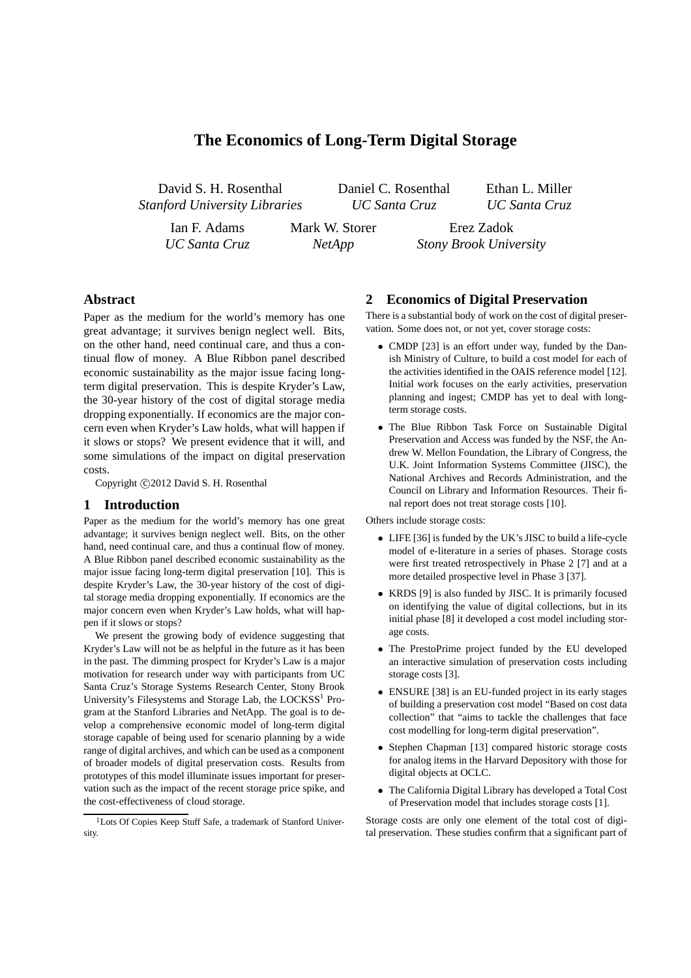# **The Economics of Long-Term Digital Storage**

*NetApp*

David S. H. Rosenthal *Stanford University Libraries* Daniel C. Rosenthal *UC Santa Cruz*

Ethan L. Miller *UC Santa Cruz*

Ian F. Adams *UC Santa Cruz* Mark W. Storer

Erez Zadok *Stony Brook University*

# **Abstract**

Paper as the medium for the world's memory has one great advantage; it survives benign neglect well. Bits, on the other hand, need continual care, and thus a continual flow of money. A Blue Ribbon panel described economic sustainability as the major issue facing longterm digital preservation. This is despite Kryder's Law, the 30-year history of the cost of digital storage media dropping exponentially. If economics are the major concern even when Kryder's Law holds, what will happen if it slows or stops? We present evidence that it will, and some simulations of the impact on digital preservation costs.

Copyright ©2012 David S. H. Rosenthal

### **1 Introduction**

Paper as the medium for the world's memory has one great advantage; it survives benign neglect well. Bits, on the other hand, need continual care, and thus a continual flow of money. A Blue Ribbon panel described economic sustainability as the major issue facing long-term digital preservation [10]. This is despite Kryder's Law, the 30-year history of the cost of digital storage media dropping exponentially. If economics are the major concern even when Kryder's Law holds, what will happen if it slows or stops?

We present the growing body of evidence suggesting that Kryder's Law will not be as helpful in the future as it has been in the past. The dimming prospect for Kryder's Law is a major motivation for research under way with participants from UC Santa Cruz's Storage Systems Research Center, Stony Brook University's Filesystems and Storage Lab, the LOCKSS<sup>1</sup> Program at the Stanford Libraries and NetApp. The goal is to develop a comprehensive economic model of long-term digital storage capable of being used for scenario planning by a wide range of digital archives, and which can be used as a component of broader models of digital preservation costs. Results from prototypes of this model illuminate issues important for preservation such as the impact of the recent storage price spike, and the cost-effectiveness of cloud storage.

### **2 Economics of Digital Preservation**

There is a substantial body of work on the cost of digital preservation. Some does not, or not yet, cover storage costs:

- CMDP [23] is an effort under way, funded by the Danish Ministry of Culture, to build a cost model for each of the activities identified in the OAIS reference model [12]. Initial work focuses on the early activities, preservation planning and ingest; CMDP has yet to deal with longterm storage costs.
- The Blue Ribbon Task Force on Sustainable Digital Preservation and Access was funded by the NSF, the Andrew W. Mellon Foundation, the Library of Congress, the U.K. Joint Information Systems Committee (JISC), the National Archives and Records Administration, and the Council on Library and Information Resources. Their final report does not treat storage costs [10].

Others include storage costs:

- LIFE [36] is funded by the UK's JISC to build a life-cycle model of e-literature in a series of phases. Storage costs were first treated retrospectively in Phase 2 [7] and at a more detailed prospective level in Phase 3 [37].
- KRDS [9] is also funded by JISC. It is primarily focused on identifying the value of digital collections, but in its initial phase [8] it developed a cost model including storage costs.
- The PrestoPrime project funded by the EU developed an interactive simulation of preservation costs including storage costs [3].
- ENSURE [38] is an EU-funded project in its early stages of building a preservation cost model "Based on cost data collection" that "aims to tackle the challenges that face cost modelling for long-term digital preservation".
- Stephen Chapman [13] compared historic storage costs for analog items in the Harvard Depository with those for digital objects at OCLC.
- The California Digital Library has developed a Total Cost of Preservation model that includes storage costs [1].

Storage costs are only one element of the total cost of digital preservation. These studies confirm that a significant part of

<sup>&</sup>lt;sup>1</sup>Lots Of Copies Keep Stuff Safe, a trademark of Stanford University.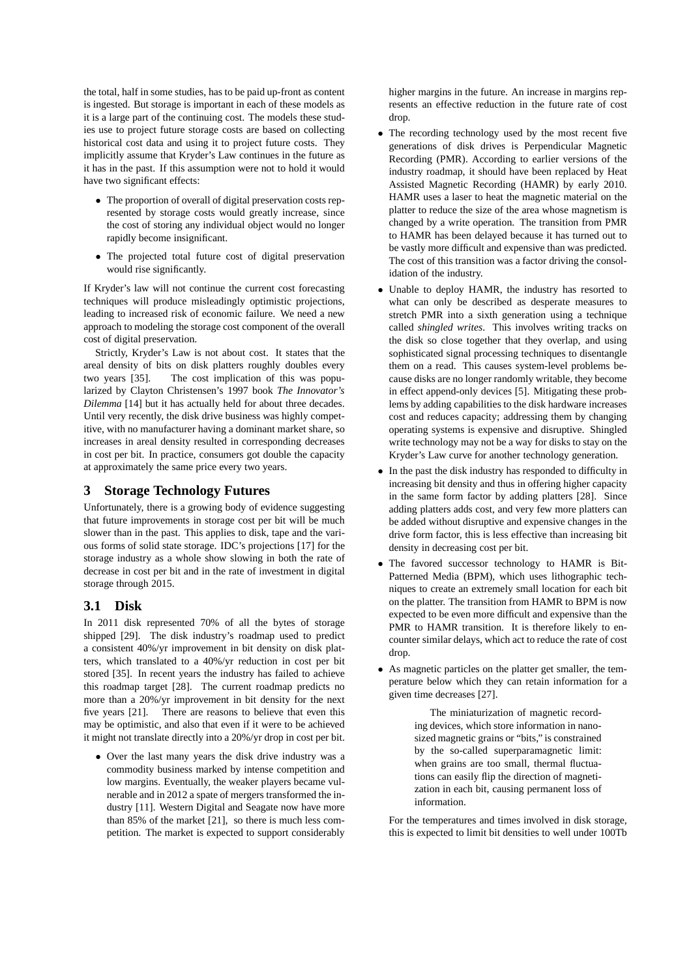the total, half in some studies, has to be paid up-front as content is ingested. But storage is important in each of these models as it is a large part of the continuing cost. The models these studies use to project future storage costs are based on collecting historical cost data and using it to project future costs. They implicitly assume that Kryder's Law continues in the future as it has in the past. If this assumption were not to hold it would have two significant effects:

- The proportion of overall of digital preservation costs represented by storage costs would greatly increase, since the cost of storing any individual object would no longer rapidly become insignificant.
- The projected total future cost of digital preservation would rise significantly.

If Kryder's law will not continue the current cost forecasting techniques will produce misleadingly optimistic projections, leading to increased risk of economic failure. We need a new approach to modeling the storage cost component of the overall cost of digital preservation.

Strictly, Kryder's Law is not about cost. It states that the areal density of bits on disk platters roughly doubles every two years [35]. The cost implication of this was popularized by Clayton Christensen's 1997 book *The Innovator's Dilemma* [14] but it has actually held for about three decades. Until very recently, the disk drive business was highly competitive, with no manufacturer having a dominant market share, so increases in areal density resulted in corresponding decreases in cost per bit. In practice, consumers got double the capacity at approximately the same price every two years.

# **3 Storage Technology Futures**

Unfortunately, there is a growing body of evidence suggesting that future improvements in storage cost per bit will be much slower than in the past. This applies to disk, tape and the various forms of solid state storage. IDC's projections [17] for the storage industry as a whole show slowing in both the rate of decrease in cost per bit and in the rate of investment in digital storage through 2015.

# **3.1 Disk**

In 2011 disk represented 70% of all the bytes of storage shipped [29]. The disk industry's roadmap used to predict a consistent 40%/yr improvement in bit density on disk platters, which translated to a 40%/yr reduction in cost per bit stored [35]. In recent years the industry has failed to achieve this roadmap target [28]. The current roadmap predicts no more than a 20%/yr improvement in bit density for the next five years [21]. There are reasons to believe that even this may be optimistic, and also that even if it were to be achieved it might not translate directly into a 20%/yr drop in cost per bit.

• Over the last many years the disk drive industry was a commodity business marked by intense competition and low margins. Eventually, the weaker players became vulnerable and in 2012 a spate of mergers transformed the industry [11]. Western Digital and Seagate now have more than 85% of the market [21], so there is much less competition. The market is expected to support considerably

higher margins in the future. An increase in margins represents an effective reduction in the future rate of cost drop.

- The recording technology used by the most recent five generations of disk drives is Perpendicular Magnetic Recording (PMR). According to earlier versions of the industry roadmap, it should have been replaced by Heat Assisted Magnetic Recording (HAMR) by early 2010. HAMR uses a laser to heat the magnetic material on the platter to reduce the size of the area whose magnetism is changed by a write operation. The transition from PMR to HAMR has been delayed because it has turned out to be vastly more difficult and expensive than was predicted. The cost of this transition was a factor driving the consolidation of the industry.
- Unable to deploy HAMR, the industry has resorted to what can only be described as desperate measures to stretch PMR into a sixth generation using a technique called *shingled writes*. This involves writing tracks on the disk so close together that they overlap, and using sophisticated signal processing techniques to disentangle them on a read. This causes system-level problems because disks are no longer randomly writable, they become in effect append-only devices [5]. Mitigating these problems by adding capabilities to the disk hardware increases cost and reduces capacity; addressing them by changing operating systems is expensive and disruptive. Shingled write technology may not be a way for disks to stay on the Kryder's Law curve for another technology generation.
- In the past the disk industry has responded to difficulty in increasing bit density and thus in offering higher capacity in the same form factor by adding platters [28]. Since adding platters adds cost, and very few more platters can be added without disruptive and expensive changes in the drive form factor, this is less effective than increasing bit density in decreasing cost per bit.
- The favored successor technology to HAMR is Bit-Patterned Media (BPM), which uses lithographic techniques to create an extremely small location for each bit on the platter. The transition from HAMR to BPM is now expected to be even more difficult and expensive than the PMR to HAMR transition. It is therefore likely to encounter similar delays, which act to reduce the rate of cost drop.
- As magnetic particles on the platter get smaller, the temperature below which they can retain information for a given time decreases [27].

The miniaturization of magnetic recording devices, which store information in nanosized magnetic grains or "bits," is constrained by the so-called superparamagnetic limit: when grains are too small, thermal fluctuations can easily flip the direction of magnetization in each bit, causing permanent loss of information.

For the temperatures and times involved in disk storage, this is expected to limit bit densities to well under 100Tb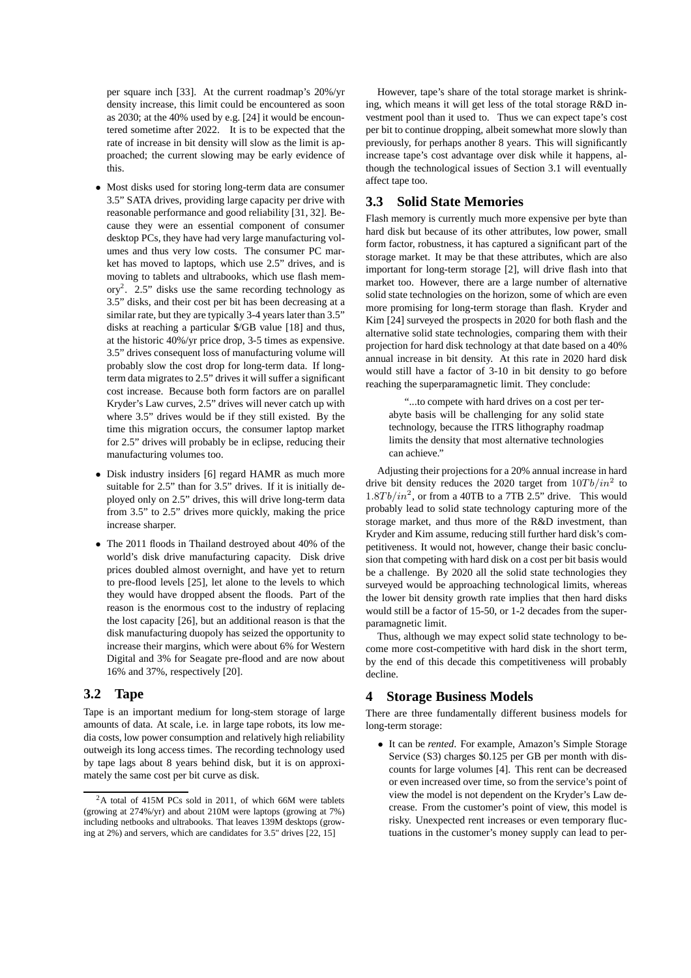per square inch [33]. At the current roadmap's 20%/yr density increase, this limit could be encountered as soon as 2030; at the 40% used by e.g. [24] it would be encountered sometime after 2022. It is to be expected that the rate of increase in bit density will slow as the limit is approached; the current slowing may be early evidence of this.

- Most disks used for storing long-term data are consumer 3.5" SATA drives, providing large capacity per drive with reasonable performance and good reliability [31, 32]. Because they were an essential component of consumer desktop PCs, they have had very large manufacturing volumes and thus very low costs. The consumer PC market has moved to laptops, which use 2.5" drives, and is moving to tablets and ultrabooks, which use flash mem- $\text{ory}^2$ . 2.5" disks use the same recording technology as 3.5" disks, and their cost per bit has been decreasing at a similar rate, but they are typically 3-4 years later than 3.5" disks at reaching a particular \$/GB value [18] and thus, at the historic 40%/yr price drop, 3-5 times as expensive. 3.5" drives consequent loss of manufacturing volume will probably slow the cost drop for long-term data. If longterm data migrates to 2.5" drives it will suffer a significant cost increase. Because both form factors are on parallel Kryder's Law curves, 2.5" drives will never catch up with where 3.5" drives would be if they still existed. By the time this migration occurs, the consumer laptop market for 2.5" drives will probably be in eclipse, reducing their manufacturing volumes too.
- Disk industry insiders [6] regard HAMR as much more suitable for 2.5" than for 3.5" drives. If it is initially deployed only on 2.5" drives, this will drive long-term data from 3.5" to 2.5" drives more quickly, making the price increase sharper.
- The 2011 floods in Thailand destroyed about 40% of the world's disk drive manufacturing capacity. Disk drive prices doubled almost overnight, and have yet to return to pre-flood levels [25], let alone to the levels to which they would have dropped absent the floods. Part of the reason is the enormous cost to the industry of replacing the lost capacity [26], but an additional reason is that the disk manufacturing duopoly has seized the opportunity to increase their margins, which were about 6% for Western Digital and 3% for Seagate pre-flood and are now about 16% and 37%, respectively [20].

# **3.2 Tape**

Tape is an important medium for long-stem storage of large amounts of data. At scale, i.e. in large tape robots, its low media costs, low power consumption and relatively high reliability outweigh its long access times. The recording technology used by tape lags about 8 years behind disk, but it is on approximately the same cost per bit curve as disk.

However, tape's share of the total storage market is shrinking, which means it will get less of the total storage R&D investment pool than it used to. Thus we can expect tape's cost per bit to continue dropping, albeit somewhat more slowly than previously, for perhaps another 8 years. This will significantly increase tape's cost advantage over disk while it happens, although the technological issues of Section 3.1 will eventually affect tape too.

#### **3.3 Solid State Memories**

Flash memory is currently much more expensive per byte than hard disk but because of its other attributes, low power, small form factor, robustness, it has captured a significant part of the storage market. It may be that these attributes, which are also important for long-term storage [2], will drive flash into that market too. However, there are a large number of alternative solid state technologies on the horizon, some of which are even more promising for long-term storage than flash. Kryder and Kim [24] surveyed the prospects in 2020 for both flash and the alternative solid state technologies, comparing them with their projection for hard disk technology at that date based on a 40% annual increase in bit density. At this rate in 2020 hard disk would still have a factor of 3-10 in bit density to go before reaching the superparamagnetic limit. They conclude:

"...to compete with hard drives on a cost per terabyte basis will be challenging for any solid state technology, because the ITRS lithography roadmap limits the density that most alternative technologies can achieve."

Adjusting their projections for a 20% annual increase in hard drive bit density reduces the 2020 target from  $10Tb/in^2$  to  $1.8Tb/in^2$ , or from a 40TB to a 7TB 2.5" drive. This would probably lead to solid state technology capturing more of the storage market, and thus more of the R&D investment, than Kryder and Kim assume, reducing still further hard disk's competitiveness. It would not, however, change their basic conclusion that competing with hard disk on a cost per bit basis would be a challenge. By 2020 all the solid state technologies they surveyed would be approaching technological limits, whereas the lower bit density growth rate implies that then hard disks would still be a factor of 15-50, or 1-2 decades from the superparamagnetic limit.

Thus, although we may expect solid state technology to become more cost-competitive with hard disk in the short term, by the end of this decade this competitiveness will probably decline.

#### **4 Storage Business Models**

There are three fundamentally different business models for long-term storage:

• It can be *rented*. For example, Amazon's Simple Storage Service (S3) charges \$0.125 per GB per month with discounts for large volumes [4]. This rent can be decreased or even increased over time, so from the service's point of view the model is not dependent on the Kryder's Law decrease. From the customer's point of view, this model is risky. Unexpected rent increases or even temporary fluctuations in the customer's money supply can lead to per-

<sup>&</sup>lt;sup>2</sup>A total of 415M PCs sold in 2011, of which 66M were tablets (growing at 274%/yr) and about 210M were laptops (growing at 7%) including netbooks and ultrabooks. That leaves 139M desktops (growing at 2%) and servers, which are candidates for 3.5" drives [22, 15]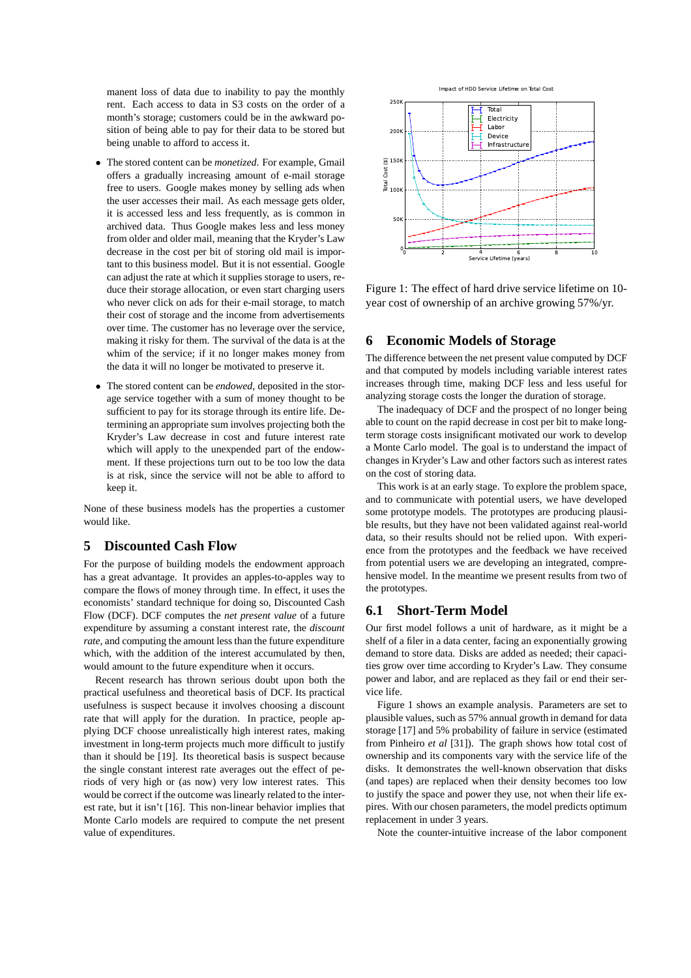manent loss of data due to inability to pay the monthly rent. Each access to data in S3 costs on the order of a month's storage; customers could be in the awkward position of being able to pay for their data to be stored but being unable to afford to access it.

- The stored content can be *monetized*. For example, Gmail offers a gradually increasing amount of e-mail storage free to users. Google makes money by selling ads when the user accesses their mail. As each message gets older, it is accessed less and less frequently, as is common in archived data. Thus Google makes less and less money from older and older mail, meaning that the Kryder's Law decrease in the cost per bit of storing old mail is important to this business model. But it is not essential. Google can adjust the rate at which it supplies storage to users, reduce their storage allocation, or even start charging users who never click on ads for their e-mail storage, to match their cost of storage and the income from advertisements over time. The customer has no leverage over the service, making it risky for them. The survival of the data is at the whim of the service; if it no longer makes money from the data it will no longer be motivated to preserve it.
- The stored content can be *endowed*, deposited in the storage service together with a sum of money thought to be sufficient to pay for its storage through its entire life. Determining an appropriate sum involves projecting both the Kryder's Law decrease in cost and future interest rate which will apply to the unexpended part of the endowment. If these projections turn out to be too low the data is at risk, since the service will not be able to afford to keep it.

None of these business models has the properties a customer would like.

#### **5 Discounted Cash Flow**

For the purpose of building models the endowment approach has a great advantage. It provides an apples-to-apples way to compare the flows of money through time. In effect, it uses the economists' standard technique for doing so, Discounted Cash Flow (DCF). DCF computes the *net present value* of a future expenditure by assuming a constant interest rate, the *discount rate*, and computing the amount less than the future expenditure which, with the addition of the interest accumulated by then, would amount to the future expenditure when it occurs.

Recent research has thrown serious doubt upon both the practical usefulness and theoretical basis of DCF. Its practical usefulness is suspect because it involves choosing a discount rate that will apply for the duration. In practice, people applying DCF choose unrealistically high interest rates, making investment in long-term projects much more difficult to justify than it should be [19]. Its theoretical basis is suspect because the single constant interest rate averages out the effect of periods of very high or (as now) very low interest rates. This would be correct if the outcome was linearly related to the interest rate, but it isn't [16]. This non-linear behavior implies that Monte Carlo models are required to compute the net present value of expenditures.



Figure 1: The effect of hard drive service lifetime on 10 year cost of ownership of an archive growing 57%/yr.

# **6 Economic Models of Storage**

The difference between the net present value computed by DCF and that computed by models including variable interest rates increases through time, making DCF less and less useful for analyzing storage costs the longer the duration of storage.

The inadequacy of DCF and the prospect of no longer being able to count on the rapid decrease in cost per bit to make longterm storage costs insignificant motivated our work to develop a Monte Carlo model. The goal is to understand the impact of changes in Kryder's Law and other factors such as interest rates on the cost of storing data.

This work is at an early stage. To explore the problem space, and to communicate with potential users, we have developed some prototype models. The prototypes are producing plausible results, but they have not been validated against real-world data, so their results should not be relied upon. With experience from the prototypes and the feedback we have received from potential users we are developing an integrated, comprehensive model. In the meantime we present results from two of the prototypes.

# **6.1 Short-Term Model**

Our first model follows a unit of hardware, as it might be a shelf of a filer in a data center, facing an exponentially growing demand to store data. Disks are added as needed; their capacities grow over time according to Kryder's Law. They consume power and labor, and are replaced as they fail or end their service life.

Figure 1 shows an example analysis. Parameters are set to plausible values, such as 57% annual growth in demand for data storage [17] and 5% probability of failure in service (estimated from Pinheiro *et al* [31]). The graph shows how total cost of ownership and its components vary with the service life of the disks. It demonstrates the well-known observation that disks (and tapes) are replaced when their density becomes too low to justify the space and power they use, not when their life expires. With our chosen parameters, the model predicts optimum replacement in under 3 years.

Note the counter-intuitive increase of the labor component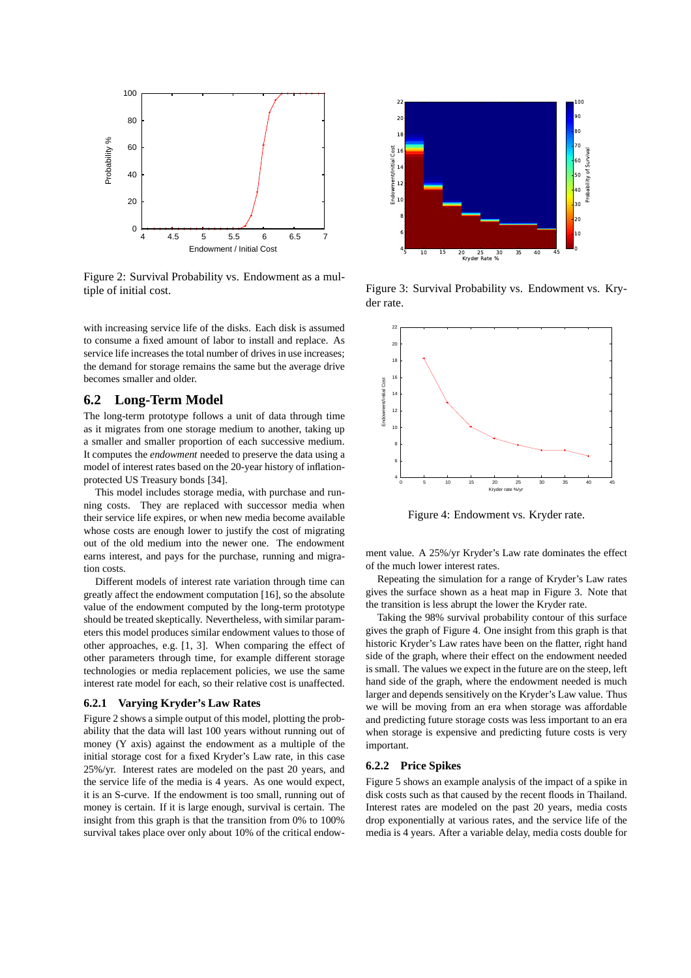

Figure 2: Survival Probability vs. Endowment as a multiple of initial cost.

with increasing service life of the disks. Each disk is assumed to consume a fixed amount of labor to install and replace. As service life increases the total number of drives in use increases; the demand for storage remains the same but the average drive becomes smaller and older.

### **6.2 Long-Term Model**

The long-term prototype follows a unit of data through time as it migrates from one storage medium to another, taking up a smaller and smaller proportion of each successive medium. It computes the *endowment* needed to preserve the data using a model of interest rates based on the 20-year history of inflationprotected US Treasury bonds [34].

This model includes storage media, with purchase and running costs. They are replaced with successor media when their service life expires, or when new media become available whose costs are enough lower to justify the cost of migrating out of the old medium into the newer one. The endowment earns interest, and pays for the purchase, running and migration costs.

Different models of interest rate variation through time can greatly affect the endowment computation [16], so the absolute value of the endowment computed by the long-term prototype should be treated skeptically. Nevertheless, with similar parameters this model produces similar endowment values to those of other approaches, e.g. [1, 3]. When comparing the effect of other parameters through time, for example different storage technologies or media replacement policies, we use the same interest rate model for each, so their relative cost is unaffected.

#### **6.2.1 Varying Kryder's Law Rates**

Figure 2 shows a simple output of this model, plotting the probability that the data will last 100 years without running out of money (Y axis) against the endowment as a multiple of the initial storage cost for a fixed Kryder's Law rate, in this case 25%/yr. Interest rates are modeled on the past 20 years, and the service life of the media is 4 years. As one would expect, it is an S-curve. If the endowment is too small, running out of money is certain. If it is large enough, survival is certain. The insight from this graph is that the transition from 0% to 100% survival takes place over only about 10% of the critical endow-



Figure 3: Survival Probability vs. Endowment vs. Kryder rate.



Figure 4: Endowment vs. Kryder rate.

ment value. A 25%/yr Kryder's Law rate dominates the effect of the much lower interest rates.

Repeating the simulation for a range of Kryder's Law rates gives the surface shown as a heat map in Figure 3. Note that the transition is less abrupt the lower the Kryder rate.

Taking the 98% survival probability contour of this surface gives the graph of Figure 4. One insight from this graph is that historic Kryder's Law rates have been on the flatter, right hand side of the graph, where their effect on the endowment needed is small. The values we expect in the future are on the steep, left hand side of the graph, where the endowment needed is much larger and depends sensitively on the Kryder's Law value. Thus we will be moving from an era when storage was affordable and predicting future storage costs was less important to an era when storage is expensive and predicting future costs is very important.

#### **6.2.2 Price Spikes**

Figure 5 shows an example analysis of the impact of a spike in disk costs such as that caused by the recent floods in Thailand. Interest rates are modeled on the past 20 years, media costs drop exponentially at various rates, and the service life of the media is 4 years. After a variable delay, media costs double for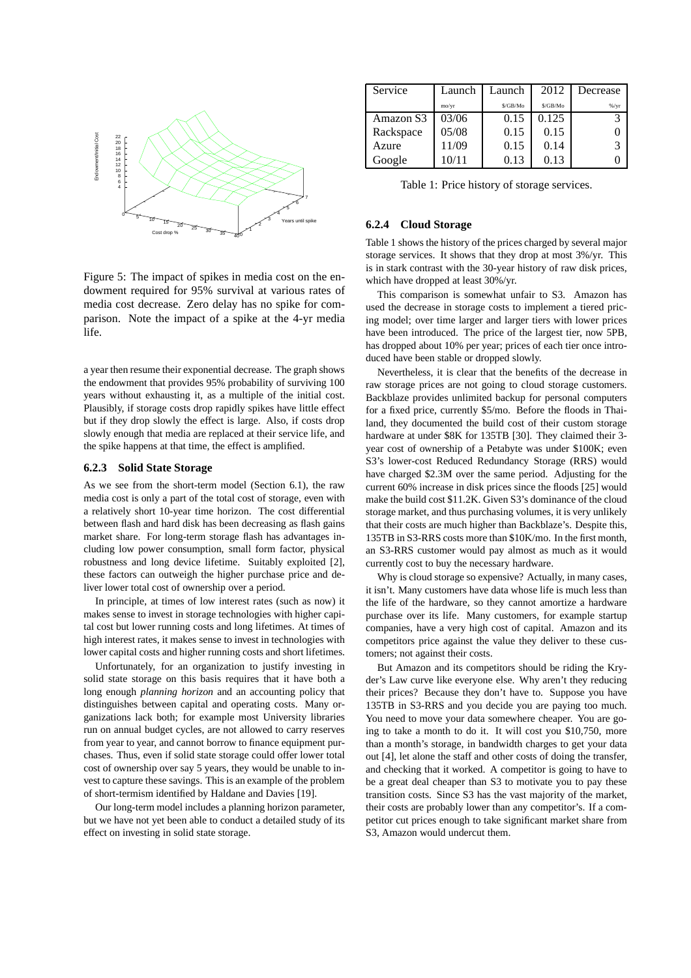

Figure 5: The impact of spikes in media cost on the endowment required for 95% survival at various rates of media cost decrease. Zero delay has no spike for comparison. Note the impact of a spike at the 4-yr media life.

a year then resume their exponential decrease. The graph shows the endowment that provides 95% probability of surviving 100 years without exhausting it, as a multiple of the initial cost. Plausibly, if storage costs drop rapidly spikes have little effect but if they drop slowly the effect is large. Also, if costs drop slowly enough that media are replaced at their service life, and the spike happens at that time, the effect is amplified.

#### **6.2.3 Solid State Storage**

As we see from the short-term model (Section 6.1), the raw media cost is only a part of the total cost of storage, even with a relatively short 10-year time horizon. The cost differential between flash and hard disk has been decreasing as flash gains market share. For long-term storage flash has advantages including low power consumption, small form factor, physical robustness and long device lifetime. Suitably exploited [2], these factors can outweigh the higher purchase price and deliver lower total cost of ownership over a period.

In principle, at times of low interest rates (such as now) it makes sense to invest in storage technologies with higher capital cost but lower running costs and long lifetimes. At times of high interest rates, it makes sense to invest in technologies with lower capital costs and higher running costs and short lifetimes.

Unfortunately, for an organization to justify investing in solid state storage on this basis requires that it have both a long enough *planning horizon* and an accounting policy that distinguishes between capital and operating costs. Many organizations lack both; for example most University libraries run on annual budget cycles, are not allowed to carry reserves from year to year, and cannot borrow to finance equipment purchases. Thus, even if solid state storage could offer lower total cost of ownership over say 5 years, they would be unable to invest to capture these savings. This is an example of the problem of short-termism identified by Haldane and Davies [19].

Our long-term model includes a planning horizon parameter, but we have not yet been able to conduct a detailed study of its effect on investing in solid state storage.

| Service   | Launch | Launch   | 2012     | Decrease |
|-----------|--------|----------|----------|----------|
|           | mo/vr  | \$/GB/Mo | \$/GB/Mo | %/yr     |
| Amazon S3 | 03/06  | 0.15     | 0.125    |          |
| Rackspace | 05/08  | 0.15     | 0.15     |          |
| Azure     | 11/09  | 0.15     | 0.14     |          |
| Google    | 10/11  | 0.13     | 0.13     |          |

Table 1: Price history of storage services.

#### **6.2.4 Cloud Storage**

Table 1 shows the history of the prices charged by several major storage services. It shows that they drop at most 3%/yr. This is in stark contrast with the 30-year history of raw disk prices, which have dropped at least 30%/yr.

This comparison is somewhat unfair to S3. Amazon has used the decrease in storage costs to implement a tiered pricing model; over time larger and larger tiers with lower prices have been introduced. The price of the largest tier, now 5PB, has dropped about 10% per year; prices of each tier once introduced have been stable or dropped slowly.

Nevertheless, it is clear that the benefits of the decrease in raw storage prices are not going to cloud storage customers. Backblaze provides unlimited backup for personal computers for a fixed price, currently \$5/mo. Before the floods in Thailand, they documented the build cost of their custom storage hardware at under \$8K for 135TB [30]. They claimed their 3year cost of ownership of a Petabyte was under \$100K; even S3's lower-cost Reduced Redundancy Storage (RRS) would have charged \$2.3M over the same period. Adjusting for the current 60% increase in disk prices since the floods [25] would make the build cost \$11.2K. Given S3's dominance of the cloud storage market, and thus purchasing volumes, it is very unlikely that their costs are much higher than Backblaze's. Despite this, 135TB in S3-RRS costs more than \$10K/mo. In the first month, an S3-RRS customer would pay almost as much as it would currently cost to buy the necessary hardware.

Why is cloud storage so expensive? Actually, in many cases, it isn't. Many customers have data whose life is much less than the life of the hardware, so they cannot amortize a hardware purchase over its life. Many customers, for example startup companies, have a very high cost of capital. Amazon and its competitors price against the value they deliver to these customers; not against their costs.

But Amazon and its competitors should be riding the Kryder's Law curve like everyone else. Why aren't they reducing their prices? Because they don't have to. Suppose you have 135TB in S3-RRS and you decide you are paying too much. You need to move your data somewhere cheaper. You are going to take a month to do it. It will cost you \$10,750, more than a month's storage, in bandwidth charges to get your data out [4], let alone the staff and other costs of doing the transfer, and checking that it worked. A competitor is going to have to be a great deal cheaper than S3 to motivate you to pay these transition costs. Since S3 has the vast majority of the market, their costs are probably lower than any competitor's. If a competitor cut prices enough to take significant market share from S3, Amazon would undercut them.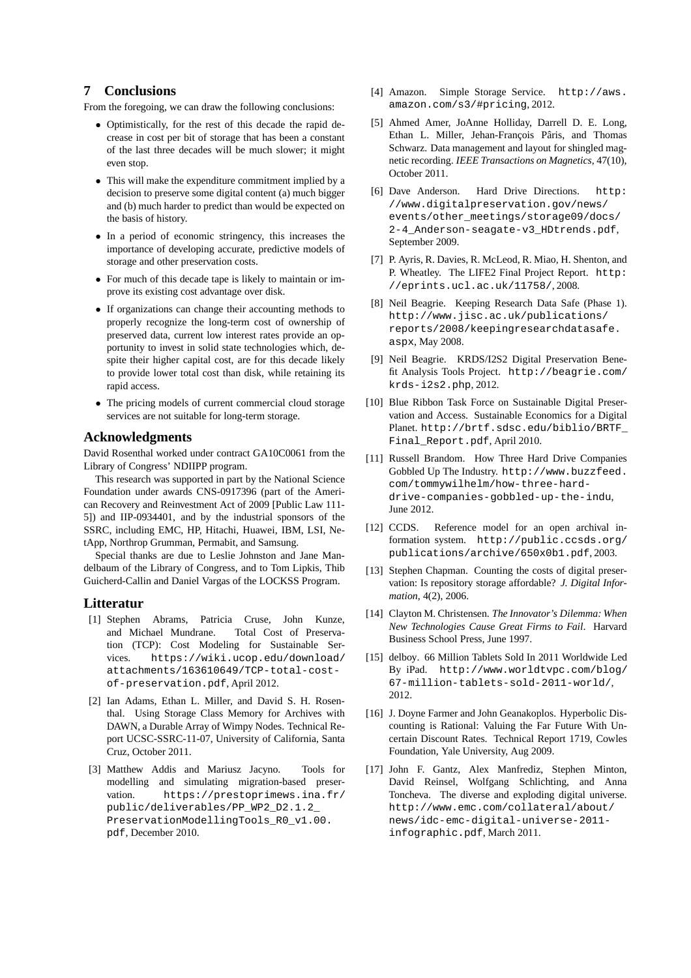# **7 Conclusions**

From the foregoing, we can draw the following conclusions:

- Optimistically, for the rest of this decade the rapid decrease in cost per bit of storage that has been a constant of the last three decades will be much slower; it might even stop.
- This will make the expenditure commitment implied by a decision to preserve some digital content (a) much bigger and (b) much harder to predict than would be expected on the basis of history.
- In a period of economic stringency, this increases the importance of developing accurate, predictive models of storage and other preservation costs.
- For much of this decade tape is likely to maintain or improve its existing cost advantage over disk.
- If organizations can change their accounting methods to properly recognize the long-term cost of ownership of preserved data, current low interest rates provide an opportunity to invest in solid state technologies which, despite their higher capital cost, are for this decade likely to provide lower total cost than disk, while retaining its rapid access.
- The pricing models of current commercial cloud storage services are not suitable for long-term storage.

# **Acknowledgments**

David Rosenthal worked under contract GA10C0061 from the Library of Congress' NDIIPP program.

This research was supported in part by the National Science Foundation under awards CNS-0917396 (part of the American Recovery and Reinvestment Act of 2009 [Public Law 111- 5]) and IIP-0934401, and by the industrial sponsors of the SSRC, including EMC, HP, Hitachi, Huawei, IBM, LSI, NetApp, Northrop Grumman, Permabit, and Samsung.

Special thanks are due to Leslie Johnston and Jane Mandelbaum of the Library of Congress, and to Tom Lipkis, Thib Guicherd-Callin and Daniel Vargas of the LOCKSS Program.

### **Litteratur**

- [1] Stephen Abrams, Patricia Cruse, John Kunze, and Michael Mundrane. Total Cost of Preservation (TCP): Cost Modeling for Sustainable Services. https://wiki.ucop.edu/download/ attachments/163610649/TCP-total-costof-preservation.pdf, April 2012.
- [2] Ian Adams, Ethan L. Miller, and David S. H. Rosenthal. Using Storage Class Memory for Archives with DAWN, a Durable Array of Wimpy Nodes. Technical Report UCSC-SSRC-11-07, University of California, Santa Cruz, October 2011.
- [3] Matthew Addis and Mariusz Jacyno. Tools for modelling and simulating migration-based preservation. https://prestoprimews.ina.fr/ public/deliverables/PP\_WP2\_D2.1.2\_ PreservationModellingTools\_R0\_v1.00. pdf, December 2010.
- [4] Amazon. Simple Storage Service. http://aws. amazon.com/s3/#pricing, 2012.
- [5] Ahmed Amer, JoAnne Holliday, Darrell D. E. Long, Ethan L. Miller, Jehan-François Pâris, and Thomas Schwarz. Data management and layout for shingled magnetic recording. *IEEE Transactions on Magnetics*, 47(10), October 2011.
- [6] Dave Anderson. Hard Drive Directions. http: //www.digitalpreservation.gov/news/ events/other\_meetings/storage09/docs/ 2-4\_Anderson-seagate-v3\_HDtrends.pdf, September 2009.
- [7] P. Ayris, R. Davies, R. McLeod, R. Miao, H. Shenton, and P. Wheatley. The LIFE2 Final Project Report. http: //eprints.ucl.ac.uk/11758/, 2008.
- [8] Neil Beagrie. Keeping Research Data Safe (Phase 1). http://www.jisc.ac.uk/publications/ reports/2008/keepingresearchdatasafe. aspx, May 2008.
- [9] Neil Beagrie. KRDS/I2S2 Digital Preservation Benefit Analysis Tools Project. http://beagrie.com/ krds-i2s2.php, 2012.
- [10] Blue Ribbon Task Force on Sustainable Digital Preservation and Access. Sustainable Economics for a Digital Planet. http://brtf.sdsc.edu/biblio/BRTF\_ Final\_Report.pdf, April 2010.
- [11] Russell Brandom. How Three Hard Drive Companies Gobbled Up The Industry. http://www.buzzfeed. com/tommywilhelm/how-three-harddrive-companies-gobbled-up-the-indu, June 2012.
- [12] CCDS. Reference model for an open archival information system. http://public.ccsds.org/ publications/archive/650x0b1.pdf, 2003.
- [13] Stephen Chapman. Counting the costs of digital preservation: Is repository storage affordable? *J. Digital Information*, 4(2), 2006.
- [14] Clayton M. Christensen. *The Innovator's Dilemma: When New Technologies Cause Great Firms to Fail*. Harvard Business School Press, June 1997.
- [15] delboy. 66 Million Tablets Sold In 2011 Worldwide Led By iPad. http://www.worldtvpc.com/blog/ 67-million-tablets-sold-2011-world/, 2012.
- [16] J. Doyne Farmer and John Geanakoplos. Hyperbolic Discounting is Rational: Valuing the Far Future With Uncertain Discount Rates. Technical Report 1719, Cowles Foundation, Yale University, Aug 2009.
- [17] John F. Gantz, Alex Manfrediz, Stephen Minton, David Reinsel, Wolfgang Schlichting, and Anna Toncheva. The diverse and exploding digital universe. http://www.emc.com/collateral/about/ news/idc-emc-digital-universe-2011 infographic.pdf, March 2011.